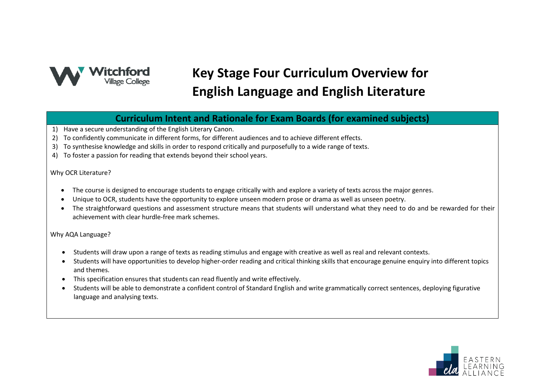

# **Key Stage Four Curriculum Overview for English Language and English Literature**

**Curriculum Intent and Rationale for Exam Boards (for examined subjects)**

- 1) Have a secure understanding of the English Literary Canon.
- 2) To confidently communicate in different forms, for different audiences and to achieve different effects.
- 3) To synthesise knowledge and skills in order to respond critically and purposefully to a wide range of texts.
- 4) To foster a passion for reading that extends beyond their school years.

#### Why OCR Literature?

- The course is designed to encourage students to engage critically with and explore a variety of texts across the major genres.
- Unique to OCR, students have the opportunity to explore unseen modern prose or drama as well as unseen poetry.
- The straightforward questions and assessment structure means that students will understand what they need to do and be rewarded for their achievement with clear hurdle-free mark schemes.

#### Why AQA Language?

- Students will draw upon a range of texts as reading stimulus and engage with creative as well as real and relevant contexts.
- Students will have opportunities to develop higher-order reading and critical thinking skills that encourage genuine enquiry into different topics and themes.
- This specification ensures that students can read fluently and write effectively.
- Students will be able to demonstrate a confident control of Standard English and write grammatically correct sentences, deploying figurative language and analysing texts.

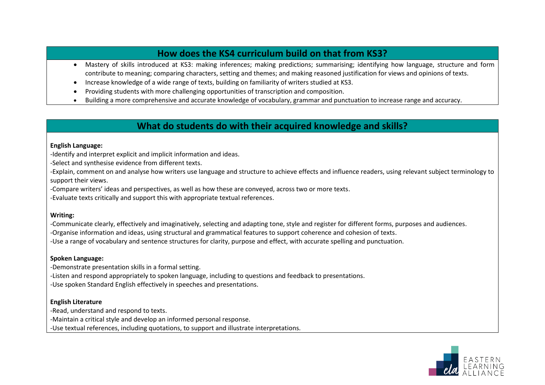# **How does the KS4 curriculum build on that from KS3?**

- Mastery of skills introduced at KS3: making inferences; making predictions; summarising; identifying how language, structure and form contribute to meaning; comparing characters, setting and themes; and making reasoned justification for views and opinions of texts.
- Increase knowledge of a wide range of texts, building on familiarity of writers studied at KS3.
- Providing students with more challenging opportunities of transcription and composition.
- Building a more comprehensive and accurate knowledge of vocabulary, grammar and punctuation to increase range and accuracy.

### **What do students do with their acquired knowledge and skills?**

#### **English Language:**

-Identify and interpret explicit and implicit information and ideas.

-Select and synthesise evidence from different texts.

-Explain, comment on and analyse how writers use language and structure to achieve effects and influence readers, using relevant subject terminology to support their views.

-Compare writers' ideas and perspectives, as well as how these are conveyed, across two or more texts.

-Evaluate texts critically and support this with appropriate textual references.

#### **Writing:**

-Communicate clearly, effectively and imaginatively, selecting and adapting tone, style and register for different forms, purposes and audiences. -Organise information and ideas, using structural and grammatical features to support coherence and cohesion of texts. -Use a range of vocabulary and sentence structures for clarity, purpose and effect, with accurate spelling and punctuation.

#### **Spoken Language:**

-Demonstrate presentation skills in a formal setting. -Listen and respond appropriately to spoken language, including to questions and feedback to presentations. -Use spoken Standard English effectively in speeches and presentations.

#### **English Literature**

-Read, understand and respond to texts. -Maintain a critical style and develop an informed personal response. -Use textual references, including quotations, to support and illustrate interpretations.

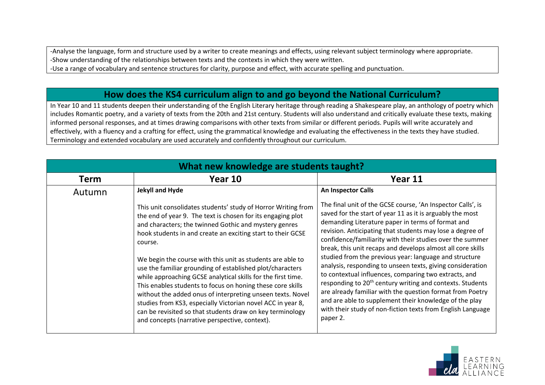-Analyse the language, form and structure used by a writer to create meanings and effects, using relevant subject terminology where appropriate. -Show understanding of the relationships between texts and the contexts in which they were written.

-Use a range of vocabulary and sentence structures for clarity, purpose and effect, with accurate spelling and punctuation.

# **How does the KS4 curriculum align to and go beyond the National Curriculum?**

In Year 10 and 11 students deepen their understanding of the English Literary heritage through reading a Shakespeare play, an anthology of poetry which includes Romantic poetry, and a variety of texts from the 20th and 21st century. Students will also understand and critically evaluate these texts, making informed personal responses, and at times drawing comparisons with other texts from similar or different periods. Pupils will write accurately and effectively, with a fluency and a crafting for effect, using the grammatical knowledge and evaluating the effectiveness in the texts they have studied. Terminology and extended vocabulary are used accurately and confidently throughout our curriculum.

| What new knowledge are students taught? |                                                                                                                                                                                                                                                                                                                                                                                                                                                                                                                                                                                                                                                                                                                                                                      |                                                                                                                                                                                                                                                                                                                                                                                                                                                                                                                                                                                                                                                                                                                                                                                                                                    |  |  |
|-----------------------------------------|----------------------------------------------------------------------------------------------------------------------------------------------------------------------------------------------------------------------------------------------------------------------------------------------------------------------------------------------------------------------------------------------------------------------------------------------------------------------------------------------------------------------------------------------------------------------------------------------------------------------------------------------------------------------------------------------------------------------------------------------------------------------|------------------------------------------------------------------------------------------------------------------------------------------------------------------------------------------------------------------------------------------------------------------------------------------------------------------------------------------------------------------------------------------------------------------------------------------------------------------------------------------------------------------------------------------------------------------------------------------------------------------------------------------------------------------------------------------------------------------------------------------------------------------------------------------------------------------------------------|--|--|
| <b>Term</b>                             | Year 10                                                                                                                                                                                                                                                                                                                                                                                                                                                                                                                                                                                                                                                                                                                                                              | Year 11                                                                                                                                                                                                                                                                                                                                                                                                                                                                                                                                                                                                                                                                                                                                                                                                                            |  |  |
| Autumn                                  | Jekyll and Hyde                                                                                                                                                                                                                                                                                                                                                                                                                                                                                                                                                                                                                                                                                                                                                      | <b>An Inspector Calls</b>                                                                                                                                                                                                                                                                                                                                                                                                                                                                                                                                                                                                                                                                                                                                                                                                          |  |  |
|                                         | This unit consolidates students' study of Horror Writing from<br>the end of year 9. The text is chosen for its engaging plot<br>and characters; the twinned Gothic and mystery genres<br>hook students in and create an exciting start to their GCSE<br>course.<br>We begin the course with this unit as students are able to<br>use the familiar grounding of established plot/characters<br>while approaching GCSE analytical skills for the first time.<br>This enables students to focus on honing these core skills<br>without the added onus of interpreting unseen texts. Novel<br>studies from KS3, especially Victorian novel ACC in year 8,<br>can be revisited so that students draw on key terminology<br>and concepts (narrative perspective, context). | The final unit of the GCSE course, 'An Inspector Calls', is<br>saved for the start of year 11 as it is arguably the most<br>demanding Literature paper in terms of format and<br>revision. Anticipating that students may lose a degree of<br>confidence/familiarity with their studies over the summer<br>break, this unit recaps and develops almost all core skills<br>studied from the previous year: language and structure<br>analysis, responding to unseen texts, giving consideration<br>to contextual influences, comparing two extracts, and<br>responding to 20 <sup>th</sup> century writing and contexts. Students<br>are already familiar with the question format from Poetry<br>and are able to supplement their knowledge of the play<br>with their study of non-fiction texts from English Language<br>paper 2. |  |  |

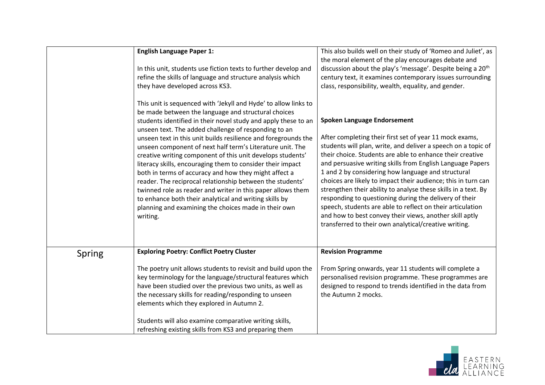|        | <b>English Language Paper 1:</b><br>In this unit, students use fiction texts to further develop and<br>refine the skills of language and structure analysis which<br>they have developed across KS3.                                                                                                                                                                                                                                                                                                                                                                                                                                                                                                                                                                                                                           | This also builds well on their study of 'Romeo and Juliet', as<br>the moral element of the play encourages debate and<br>discussion about the play's 'message'. Despite being a 20 <sup>th</sup><br>century text, it examines contemporary issues surrounding<br>class, responsibility, wealth, equality, and gender.                                                                                                                                                                                                                                                                                                                                                                                                          |
|--------|--------------------------------------------------------------------------------------------------------------------------------------------------------------------------------------------------------------------------------------------------------------------------------------------------------------------------------------------------------------------------------------------------------------------------------------------------------------------------------------------------------------------------------------------------------------------------------------------------------------------------------------------------------------------------------------------------------------------------------------------------------------------------------------------------------------------------------|--------------------------------------------------------------------------------------------------------------------------------------------------------------------------------------------------------------------------------------------------------------------------------------------------------------------------------------------------------------------------------------------------------------------------------------------------------------------------------------------------------------------------------------------------------------------------------------------------------------------------------------------------------------------------------------------------------------------------------|
|        | This unit is sequenced with 'Jekyll and Hyde' to allow links to<br>be made between the language and structural choices<br>students identified in their novel study and apply these to an<br>unseen text. The added challenge of responding to an<br>unseen text in this unit builds resilience and foregrounds the<br>unseen component of next half term's Literature unit. The<br>creative writing component of this unit develops students'<br>literacy skills, encouraging them to consider their impact<br>both in terms of accuracy and how they might affect a<br>reader. The reciprocal relationship between the students'<br>twinned role as reader and writer in this paper allows them<br>to enhance both their analytical and writing skills by<br>planning and examining the choices made in their own<br>writing. | <b>Spoken Language Endorsement</b><br>After completing their first set of year 11 mock exams,<br>students will plan, write, and deliver a speech on a topic of<br>their choice. Students are able to enhance their creative<br>and persuasive writing skills from English Language Papers<br>1 and 2 by considering how language and structural<br>choices are likely to impact their audience; this in turn can<br>strengthen their ability to analyse these skills in a text. By<br>responding to questioning during the delivery of their<br>speech, students are able to reflect on their articulation<br>and how to best convey their views, another skill aptly<br>transferred to their own analytical/creative writing. |
| Spring | <b>Exploring Poetry: Conflict Poetry Cluster</b>                                                                                                                                                                                                                                                                                                                                                                                                                                                                                                                                                                                                                                                                                                                                                                               | <b>Revision Programme</b>                                                                                                                                                                                                                                                                                                                                                                                                                                                                                                                                                                                                                                                                                                      |
|        | The poetry unit allows students to revisit and build upon the<br>key terminology for the language/structural features which<br>have been studied over the previous two units, as well as<br>the necessary skills for reading/responding to unseen<br>elements which they explored in Autumn 2.<br>Students will also examine comparative writing skills,                                                                                                                                                                                                                                                                                                                                                                                                                                                                       | From Spring onwards, year 11 students will complete a<br>personalised revision programme. These programmes are<br>designed to respond to trends identified in the data from<br>the Autumn 2 mocks.                                                                                                                                                                                                                                                                                                                                                                                                                                                                                                                             |
|        | refreshing existing skills from KS3 and preparing them                                                                                                                                                                                                                                                                                                                                                                                                                                                                                                                                                                                                                                                                                                                                                                         |                                                                                                                                                                                                                                                                                                                                                                                                                                                                                                                                                                                                                                                                                                                                |

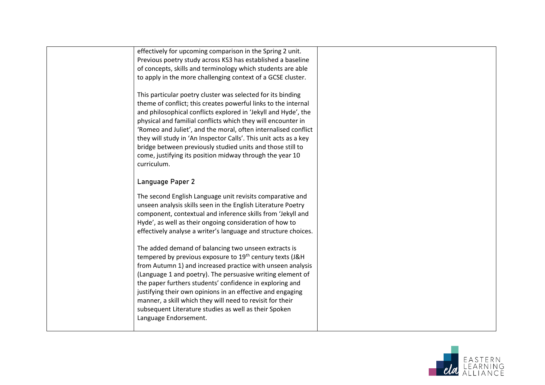| effectively for upcoming comparison in the Spring 2 unit.<br>Previous poetry study across KS3 has established a baseline<br>of concepts, skills and terminology which students are able<br>to apply in the more challenging context of a GCSE cluster.                                                                                                                                                                                                                                                                                         |  |
|------------------------------------------------------------------------------------------------------------------------------------------------------------------------------------------------------------------------------------------------------------------------------------------------------------------------------------------------------------------------------------------------------------------------------------------------------------------------------------------------------------------------------------------------|--|
| This particular poetry cluster was selected for its binding<br>theme of conflict; this creates powerful links to the internal<br>and philosophical conflicts explored in 'Jekyll and Hyde', the<br>physical and familial conflicts which they will encounter in<br>'Romeo and Juliet', and the moral, often internalised conflict<br>they will study in 'An Inspector Calls'. This unit acts as a key<br>bridge between previously studied units and those still to<br>come, justifying its position midway through the year 10<br>curriculum. |  |
| Language Paper 2                                                                                                                                                                                                                                                                                                                                                                                                                                                                                                                               |  |
| The second English Language unit revisits comparative and<br>unseen analysis skills seen in the English Literature Poetry<br>component, contextual and inference skills from 'Jekyll and<br>Hyde', as well as their ongoing consideration of how to<br>effectively analyse a writer's language and structure choices.                                                                                                                                                                                                                          |  |
| The added demand of balancing two unseen extracts is<br>tempered by previous exposure to 19th century texts (J&H<br>from Autumn 1) and increased practice with unseen analysis<br>(Language 1 and poetry). The persuasive writing element of<br>the paper furthers students' confidence in exploring and<br>justifying their own opinions in an effective and engaging<br>manner, a skill which they will need to revisit for their<br>subsequent Literature studies as well as their Spoken<br>Language Endorsement.                          |  |